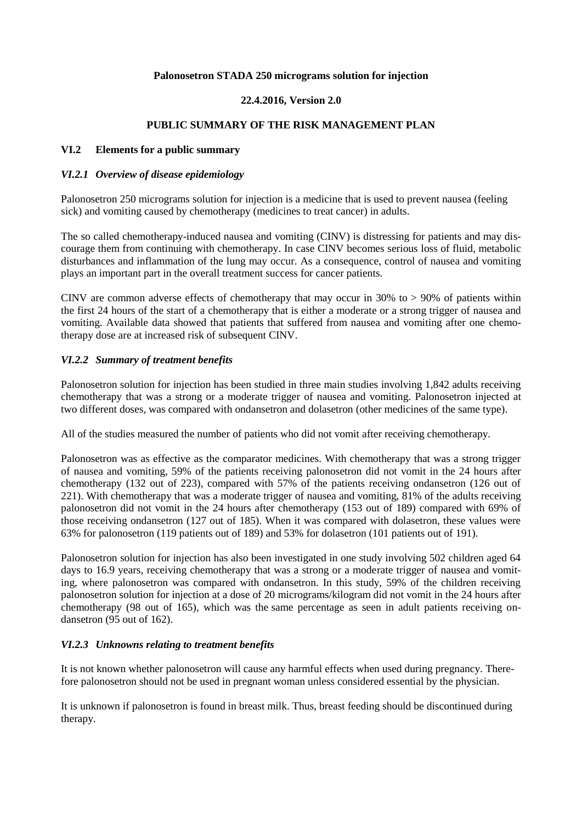#### **Palonosetron STADA 250 micrograms solution for injection**

### **22.4.2016, Version 2.0**

#### **PUBLIC SUMMARY OF THE RISK MANAGEMENT PLAN**

#### **VI.2 Elements for a public summary**

#### *VI.2.1 Overview of disease epidemiology*

Palonosetron 250 micrograms solution for injection is a medicine that is used to prevent nausea (feeling sick) and vomiting caused by chemotherapy (medicines to treat cancer) in adults.

The so called chemotherapy-induced nausea and vomiting (CINV) is distressing for patients and may discourage them from continuing with chemotherapy. In case CINV becomes serious loss of fluid, metabolic disturbances and inflammation of the lung may occur. As a consequence, control of nausea and vomiting plays an important part in the overall treatment success for cancer patients.

CINV are common adverse effects of chemotherapy that may occur in 30% to  $> 90\%$  of patients within the first 24 hours of the start of a chemotherapy that is either a moderate or a strong trigger of nausea and vomiting. Available data showed that patients that suffered from nausea and vomiting after one chemotherapy dose are at increased risk of subsequent CINV.

### *VI.2.2 Summary of treatment benefits*

Palonosetron solution for injection has been studied in three main studies involving 1,842 adults receiving chemotherapy that was a strong or a moderate trigger of nausea and vomiting. Palonosetron injected at two different doses, was compared with ondansetron and dolasetron (other medicines of the same type).

All of the studies measured the number of patients who did not vomit after receiving chemotherapy.

Palonosetron was as effective as the comparator medicines. With chemotherapy that was a strong trigger of nausea and vomiting, 59% of the patients receiving palonosetron did not vomit in the 24 hours after chemotherapy (132 out of 223), compared with 57% of the patients receiving ondansetron (126 out of 221). With chemotherapy that was a moderate trigger of nausea and vomiting, 81% of the adults receiving palonosetron did not vomit in the 24 hours after chemotherapy (153 out of 189) compared with 69% of those receiving ondansetron (127 out of 185). When it was compared with dolasetron, these values were 63% for palonosetron (119 patients out of 189) and 53% for dolasetron (101 patients out of 191).

Palonosetron solution for injection has also been investigated in one study involving 502 children aged 64 days to 16.9 years, receiving chemotherapy that was a strong or a moderate trigger of nausea and vomiting, where palonosetron was compared with ondansetron. In this study, 59% of the children receiving palonosetron solution for injection at a dose of 20 micrograms/kilogram did not vomit in the 24 hours after chemotherapy (98 out of 165), which was the same percentage as seen in adult patients receiving ondansetron (95 out of 162).

# *VI.2.3 Unknowns relating to treatment benefits*

It is not known whether palonosetron will cause any harmful effects when used during pregnancy. Therefore palonosetron should not be used in pregnant woman unless considered essential by the physician.

It is unknown if palonosetron is found in breast milk. Thus, breast feeding should be discontinued during therapy.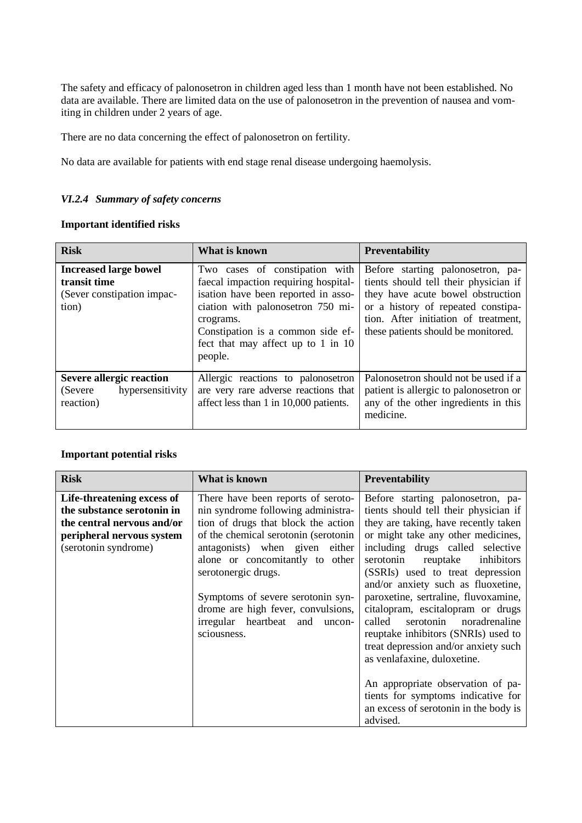The safety and efficacy of palonosetron in children aged less than 1 month have not been established. No data are available. There are limited data on the use of palonosetron in the prevention of nausea and vomiting in children under 2 years of age.

There are no data concerning the effect of palonosetron on fertility.

No data are available for patients with end stage renal disease undergoing haemolysis.

# *VI.2.4 Summary of safety concerns*

# **Important identified risks**

| <b>Risk</b>                                                                         | What is known                                                                                                                                                                                                                                         | <b>Preventability</b>                                                                                                                                                                                                                |
|-------------------------------------------------------------------------------------|-------------------------------------------------------------------------------------------------------------------------------------------------------------------------------------------------------------------------------------------------------|--------------------------------------------------------------------------------------------------------------------------------------------------------------------------------------------------------------------------------------|
| <b>Increased large bowel</b><br>transit time<br>(Sever constipation impac-<br>tion) | Two cases of constipation with<br>faecal impaction requiring hospital-<br>isation have been reported in asso-<br>ciation with palonosetron 750 mi-<br>crograms.<br>Constipation is a common side ef-<br>fect that may affect up to 1 in 10<br>people. | Before starting palonosetron, pa-<br>tients should tell their physician if<br>they have acute bowel obstruction<br>or a history of repeated constipa-<br>tion. After initiation of treatment,<br>these patients should be monitored. |
| Severe allergic reaction<br>hypersensitivity<br>(Severe)<br>reaction)               | Allergic reactions to palonosetron<br>are very rare adverse reactions that<br>affect less than 1 in 10,000 patients.                                                                                                                                  | Palonosetron should not be used if a<br>patient is allergic to palonosetron or<br>any of the other ingredients in this<br>medicine.                                                                                                  |

#### **Important potential risks**

| <b>Risk</b>                | What is known                         | <b>Preventability</b>                 |
|----------------------------|---------------------------------------|---------------------------------------|
| Life-threatening excess of | There have been reports of seroto-    | Before starting palonosetron, pa-     |
| the substance serotonin in | nin syndrome following administra-    | tients should tell their physician if |
| the central nervous and/or | tion of drugs that block the action   | they are taking, have recently taken  |
| peripheral nervous system  | of the chemical serotonin (serotonin) | or might take any other medicines,    |
| (serotonin syndrome)       | antagonists) when given either        | including drugs called selective      |
|                            | alone or concomitantly to other       | serotonin<br>reuptake inhibitors      |
|                            | serotonergic drugs.                   | (SSRIs) used to treat depression      |
|                            |                                       | and/or anxiety such as fluoxetine,    |
|                            | Symptoms of severe serotonin syn-     | paroxetine, sertraline, fluvoxamine,  |
|                            | drome are high fever, convulsions,    | citalopram, escitalopram or drugs     |
|                            | irregular heartbeat and<br>uncon-     | serotonin noradrenaline<br>called     |
|                            | sciousness.                           | reuptake inhibitors (SNRIs) used to   |
|                            |                                       | treat depression and/or anxiety such  |
|                            |                                       | as venlafaxine, duloxetine.           |
|                            |                                       |                                       |
|                            |                                       | An appropriate observation of pa-     |
|                            |                                       | tients for symptoms indicative for    |
|                            |                                       | an excess of serotonin in the body is |
|                            |                                       | advised.                              |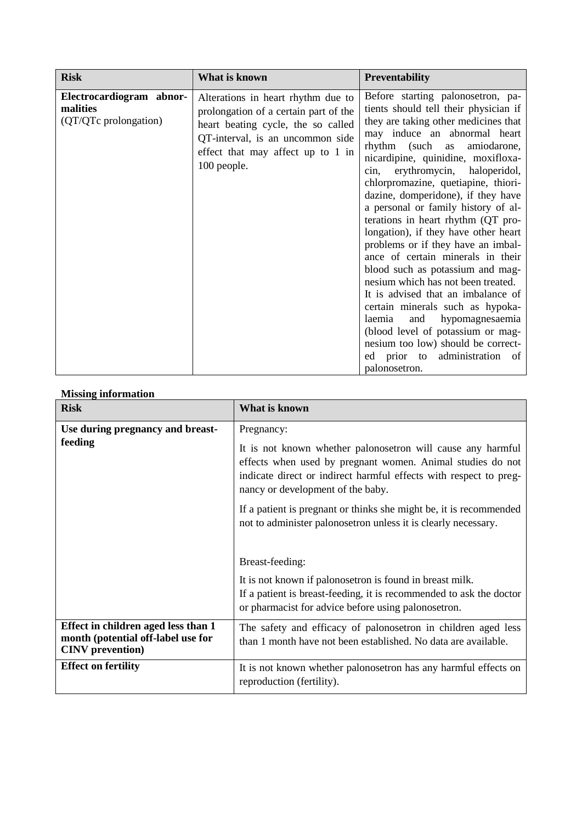| <b>Risk</b>                                                   | What is known                                                                                                                                                                                             | <b>Preventability</b>                                                                                                                                                                                                                                                                                                                                                                                                                                                                                                                                                                                                                                                                                                                                                                                                                                                      |
|---------------------------------------------------------------|-----------------------------------------------------------------------------------------------------------------------------------------------------------------------------------------------------------|----------------------------------------------------------------------------------------------------------------------------------------------------------------------------------------------------------------------------------------------------------------------------------------------------------------------------------------------------------------------------------------------------------------------------------------------------------------------------------------------------------------------------------------------------------------------------------------------------------------------------------------------------------------------------------------------------------------------------------------------------------------------------------------------------------------------------------------------------------------------------|
| Electrocardiogram abnor-<br>malities<br>(QT/QTc prolongation) | Alterations in heart rhythm due to<br>prolongation of a certain part of the<br>heart beating cycle, the so called<br>QT-interval, is an uncommon side<br>effect that may affect up to 1 in<br>100 people. | Before starting palonosetron, pa-<br>tients should tell their physician if<br>they are taking other medicines that<br>may induce an abnormal heart<br>rhythm (such as<br>amiodarone,<br>nicardipine, quinidine, moxifloxa-<br>erythromycin, haloperidol,<br>$\sin,$<br>chlorpromazine, quetiapine, thiori-<br>dazine, domperidone), if they have<br>a personal or family history of al-<br>terations in heart rhythm (QT pro-<br>longation), if they have other heart<br>problems or if they have an imbal-<br>ance of certain minerals in their<br>blood such as potassium and mag-<br>nesium which has not been treated.<br>It is advised that an imbalance of<br>certain minerals such as hypoka-<br>hypomagnesaemia<br>laemia<br>and<br>(blood level of potassium or mag-<br>nesium too low) should be correct-<br>ed prior to administration<br>- of<br>palonosetron. |

# **Missing information**

| <b>Risk</b>                                                                                          | What is known                                                                                                                                                                                                                                     |
|------------------------------------------------------------------------------------------------------|---------------------------------------------------------------------------------------------------------------------------------------------------------------------------------------------------------------------------------------------------|
| Use during pregnancy and breast-<br>feeding                                                          | Pregnancy:<br>It is not known whether palonosetron will cause any harmful<br>effects when used by pregnant women. Animal studies do not<br>indicate direct or indirect harmful effects with respect to preg-<br>nancy or development of the baby. |
|                                                                                                      | If a patient is pregnant or thinks she might be, it is recommended<br>not to administer palonosetron unless it is clearly necessary.<br>Breast-feeding:                                                                                           |
|                                                                                                      | It is not known if palonosetron is found in breast milk.<br>If a patient is breast-feeding, it is recommended to ask the doctor<br>or pharmacist for advice before using palonosetron.                                                            |
| Effect in children aged less than 1<br>month (potential off-label use for<br><b>CINV</b> prevention) | The safety and efficacy of palonosetron in children aged less<br>than 1 month have not been established. No data are available.                                                                                                                   |
| <b>Effect on fertility</b>                                                                           | It is not known whether palonosetron has any harmful effects on<br>reproduction (fertility).                                                                                                                                                      |